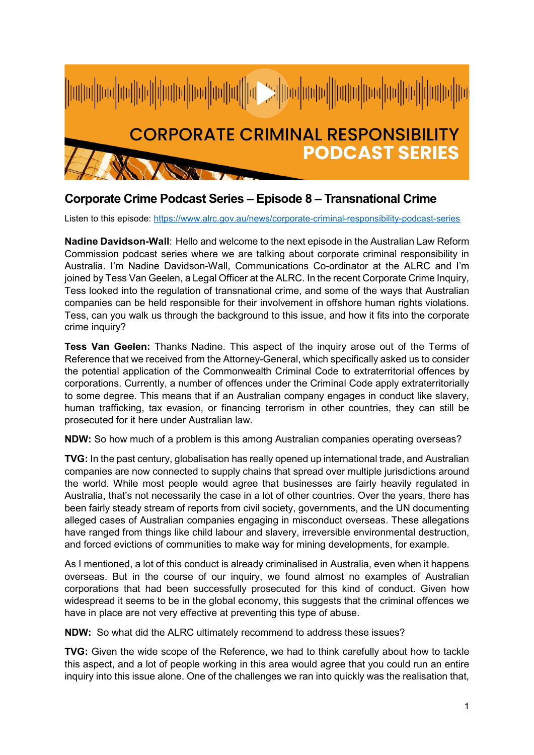

## **Corporate Crime Podcast Series – Episode 8 – Transnational Crime**

Listen to this episode:<https://www.alrc.gov.au/news/corporate-criminal-responsibility-podcast-series>

**Nadine Davidson-Wall**: Hello and welcome to the next episode in the Australian Law Reform Commission podcast series where we are talking about corporate criminal responsibility in Australia. I'm Nadine Davidson-Wall, Communications Co-ordinator at the ALRC and I'm joined by Tess Van Geelen, a Legal Officer at the ALRC. In the recent Corporate Crime Inquiry, Tess looked into the regulation of transnational crime, and some of the ways that Australian companies can be held responsible for their involvement in offshore human rights violations. Tess, can you walk us through the background to this issue, and how it fits into the corporate crime inquiry?

**Tess Van Geelen:** Thanks Nadine. This aspect of the inquiry arose out of the Terms of Reference that we received from the Attorney-General, which specifically asked us to consider the potential application of the Commonwealth Criminal Code to extraterritorial offences by corporations. Currently, a number of offences under the Criminal Code apply extraterritorially to some degree. This means that if an Australian company engages in conduct like slavery, human trafficking, tax evasion, or financing terrorism in other countries, they can still be prosecuted for it here under Australian law.

**NDW:** So how much of a problem is this among Australian companies operating overseas?

**TVG:** In the past century, globalisation has really opened up international trade, and Australian companies are now connected to supply chains that spread over multiple jurisdictions around the world. While most people would agree that businesses are fairly heavily regulated in Australia, that's not necessarily the case in a lot of other countries. Over the years, there has been fairly steady stream of reports from civil society, governments, and the UN documenting alleged cases of Australian companies engaging in misconduct overseas. These allegations have ranged from things like child labour and slavery, irreversible environmental destruction, and forced evictions of communities to make way for mining developments, for example.

As I mentioned, a lot of this conduct is already criminalised in Australia, even when it happens overseas. But in the course of our inquiry, we found almost no examples of Australian corporations that had been successfully prosecuted for this kind of conduct. Given how widespread it seems to be in the global economy, this suggests that the criminal offences we have in place are not very effective at preventing this type of abuse.

**NDW:** So what did the ALRC ultimately recommend to address these issues?

**TVG:** Given the wide scope of the Reference, we had to think carefully about how to tackle this aspect, and a lot of people working in this area would agree that you could run an entire inquiry into this issue alone. One of the challenges we ran into quickly was the realisation that,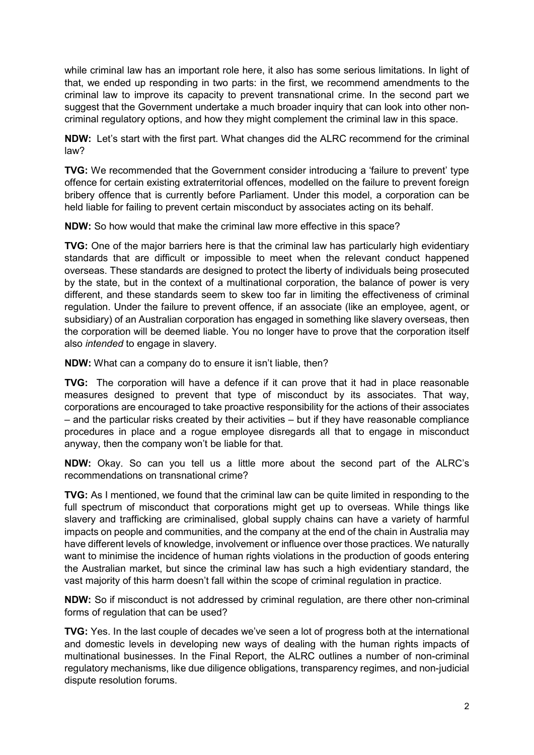while criminal law has an important role here, it also has some serious limitations. In light of that, we ended up responding in two parts: in the first, we recommend amendments to the criminal law to improve its capacity to prevent transnational crime. In the second part we suggest that the Government undertake a much broader inquiry that can look into other noncriminal regulatory options, and how they might complement the criminal law in this space.

**NDW:** Let's start with the first part. What changes did the ALRC recommend for the criminal law?

**TVG:** We recommended that the Government consider introducing a 'failure to prevent' type offence for certain existing extraterritorial offences, modelled on the failure to prevent foreign bribery offence that is currently before Parliament. Under this model, a corporation can be held liable for failing to prevent certain misconduct by associates acting on its behalf.

**NDW:** So how would that make the criminal law more effective in this space?

**TVG:** One of the major barriers here is that the criminal law has particularly high evidentiary standards that are difficult or impossible to meet when the relevant conduct happened overseas. These standards are designed to protect the liberty of individuals being prosecuted by the state, but in the context of a multinational corporation, the balance of power is very different, and these standards seem to skew too far in limiting the effectiveness of criminal regulation. Under the failure to prevent offence, if an associate (like an employee, agent, or subsidiary) of an Australian corporation has engaged in something like slavery overseas, then the corporation will be deemed liable. You no longer have to prove that the corporation itself also *intended* to engage in slavery.

**NDW:** What can a company do to ensure it isn't liable, then?

**TVG:** The corporation will have a defence if it can prove that it had in place reasonable measures designed to prevent that type of misconduct by its associates. That way, corporations are encouraged to take proactive responsibility for the actions of their associates – and the particular risks created by their activities – but if they have reasonable compliance procedures in place and a rogue employee disregards all that to engage in misconduct anyway, then the company won't be liable for that.

**NDW:** Okay. So can you tell us a little more about the second part of the ALRC's recommendations on transnational crime?

**TVG:** As I mentioned, we found that the criminal law can be quite limited in responding to the full spectrum of misconduct that corporations might get up to overseas. While things like slavery and trafficking are criminalised, global supply chains can have a variety of harmful impacts on people and communities, and the company at the end of the chain in Australia may have different levels of knowledge, involvement or influence over those practices. We naturally want to minimise the incidence of human rights violations in the production of goods entering the Australian market, but since the criminal law has such a high evidentiary standard, the vast majority of this harm doesn't fall within the scope of criminal regulation in practice.

**NDW:** So if misconduct is not addressed by criminal regulation, are there other non-criminal forms of regulation that can be used?

**TVG:** Yes. In the last couple of decades we've seen a lot of progress both at the international and domestic levels in developing new ways of dealing with the human rights impacts of multinational businesses. In the Final Report, the ALRC outlines a number of non-criminal regulatory mechanisms, like due diligence obligations, transparency regimes, and non-judicial dispute resolution forums.